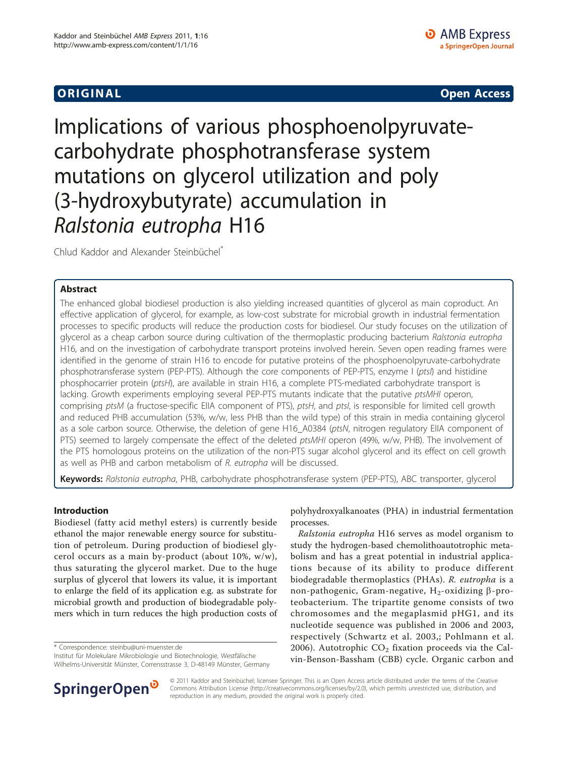**ORIGINAL CONSERVATION** CONSERVATION CONSERVATION CONSERVATION CONSERVATION CONSERVATION CONSERVATION CONSERVATION

Implications of various phosphoenolpyruvatecarbohydrate phosphotransferase system mutations on glycerol utilization and poly (3-hydroxybutyrate) accumulation in Ralstonia eutropha H16

Chlud Kaddor and Alexander Steinbüchel\*

# Abstract

The enhanced global biodiesel production is also yielding increased quantities of glycerol as main coproduct. An effective application of glycerol, for example, as low-cost substrate for microbial growth in industrial fermentation processes to specific products will reduce the production costs for biodiesel. Our study focuses on the utilization of glycerol as a cheap carbon source during cultivation of the thermoplastic producing bacterium Ralstonia eutropha H16, and on the investigation of carbohydrate transport proteins involved herein. Seven open reading frames were identified in the genome of strain H16 to encode for putative proteins of the phosphoenolpyruvate-carbohydrate phosphotransferase system (PEP-PTS). Although the core components of PEP-PTS, enzyme I (ptsI) and histidine phosphocarrier protein (ptsH), are available in strain H16, a complete PTS-mediated carbohydrate transport is lacking. Growth experiments employing several PEP-PTS mutants indicate that the putative ptsMHI operon, comprising ptsM (a fructose-specific EIIA component of PTS), ptsH, and ptsI, is responsible for limited cell growth and reduced PHB accumulation (53%, w/w, less PHB than the wild type) of this strain in media containing glycerol as a sole carbon source. Otherwise, the deletion of gene H16\_A0384 (ptsN, nitrogen regulatory EIIA component of PTS) seemed to largely compensate the effect of the deleted ptsMHI operon (49%, w/w, PHB). The involvement of the PTS homologous proteins on the utilization of the non-PTS sugar alcohol glycerol and its effect on cell growth as well as PHB and carbon metabolism of R. eutropha will be discussed.

Keywords: Ralstonia eutropha, PHB, carbohydrate phosphotransferase system (PEP-PTS), ABC transporter, glycerol

# Introduction

Biodiesel (fatty acid methyl esters) is currently beside ethanol the major renewable energy source for substitution of petroleum. During production of biodiesel glycerol occurs as a main by-product (about 10%, w/w), thus saturating the glycerol market. Due to the huge surplus of glycerol that lowers its value, it is important to enlarge the field of its application e.g. as substrate for microbial growth and production of biodegradable polymers which in turn reduces the high production costs of

\* Correspondence: [steinbu@uni-muenster.de](mailto:steinbu@uni-muenster.de)

Institut für Molekulare Mikrobiologie und Biotechnologie, Westfälische Wilhelms-Universität Münster, Corrensstrasse 3, D-48149 Münster, Germany



Ralstonia eutropha H16 serves as model organism to study the hydrogen-based chemolithoautotrophic metabolism and has a great potential in industrial applications because of its ability to produce different biodegradable thermoplastics (PHAs). R. eutropha is a non-pathogenic, Gram-negative,  $H_2$ -oxidizing  $\beta$ -proteobacterium. The tripartite genome consists of two chromosomes and the megaplasmid pHG1, and its nucleotide sequence was published in 2006 and 2003, respectively ([Schwartz et al. 2003,](#page-7-0); [Pohlmann et al.](#page-7-0) [2006](#page-7-0)). Autotrophic  $CO<sub>2</sub>$  fixation proceeds via the Calvin-Benson-Bassham (CBB) cycle. Organic carbon and



© 2011 Kaddor and Steinbüchel; licensee Springer. This is an Open Access article distributed under the terms of the Creative Commons Attribution License [\(http://creativecommons.org/licenses/by/2.0](http://creativecommons.org/licenses/by/2.0)), which permits unrestricted use, distribution, and reproduction in any medium, provided the original work is properly cited.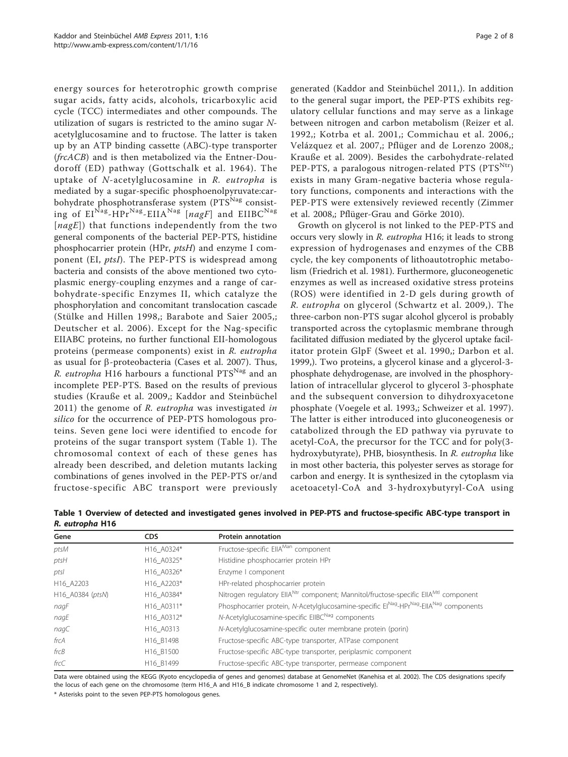energy sources for heterotrophic growth comprise sugar acids, fatty acids, alcohols, tricarboxylic acid cycle (TCC) intermediates and other compounds. The utilization of sugars is restricted to the amino sugar  $N$ acetylglucosamine and to fructose. The latter is taken up by an ATP binding cassette (ABC)-type transporter (frcACB) and is then metabolized via the Entner-Doudoroff (ED) pathway ([Gottschalk et al. 1964\)](#page-6-0). The uptake of N-acetylglucosamine in R. eutropha is mediated by a sugar-specific phosphoenolpyruvate:carbohydrate phosphotransferase system (PTS<sup>Nag</sup> consisting of  $EI^{Nag}-HPr^{Nag}-EIIA^{Nag}$  [nagF] and  $EIIBC^{Nag}$  $[nagE]$ ) that functions independently from the two general components of the bacterial PEP-PTS, histidine phosphocarrier protein (HPr, ptsH) and enzyme I component (EI, ptsI). The PEP-PTS is widespread among bacteria and consists of the above mentioned two cytoplasmic energy-coupling enzymes and a range of carbohydrate-specific Enzymes II, which catalyze the phosphorylation and concomitant translocation cascade ([Stülke and Hillen 1998](#page-7-0),; [Barabote and Saier 2005,](#page-6-0); [Deutscher et al. 2006](#page-6-0)). Except for the Nag-specific EIIABC proteins, no further functional EII-homologous proteins (permease components) exist in R. eutropha as usual for  $\beta$ -proteobacteria [\(Cases et al. 2007\)](#page-6-0). Thus, R. eutropha H16 harbours a functional  $PTS<sup>Nag</sup>$  and an incomplete PEP-PTS. Based on the results of previous studies ([Krauße et al. 2009,](#page-6-0); [Kaddor and Steinbüchel](#page-6-0)  $2011$ ) the genome of R. eutropha was investigated in silico for the occurrence of PEP-PTS homologous proteins. Seven gene loci were identified to encode for proteins of the sugar transport system (Table 1). The chromosomal context of each of these genes has already been described, and deletion mutants lacking combinations of genes involved in the PEP-PTS or/and fructose-specific ABC transport were previously

generated ([Kaddor and Steinbüchel 2011,](#page-6-0)). In addition to the general sugar import, the PEP-PTS exhibits regulatory cellular functions and may serve as a linkage between nitrogen and carbon metabolism [\(Reizer et al.](#page-7-0) [1992](#page-7-0),; [Kotrba et al. 2001](#page-6-0),; [Commichau et al. 2006,](#page-6-0); [Velázquez et al. 2007](#page-7-0),; [Pflüger and de Lorenzo 2008,](#page-6-0); [Krauße et al. 2009\)](#page-6-0). Besides the carbohydrate-related PEP-PTS, a paralogous nitrogen-related PTS ( $PTS<sup>Ntr</sup>$ ) exists in many Gram-negative bacteria whose regulatory functions, components and interactions with the PEP-PTS were extensively reviewed recently [\(Zimmer](#page-7-0) [et al. 2008,](#page-7-0); [Pflüger-Grau and Görke 2010\)](#page-7-0).

Growth on glycerol is not linked to the PEP-PTS and occurs very slowly in R. eutropha H16; it leads to strong expression of hydrogenases and enzymes of the CBB cycle, the key components of lithoautotrophic metabolism ([Friedrich et al. 1981](#page-6-0)). Furthermore, gluconeogenetic enzymes as well as increased oxidative stress proteins (ROS) were identified in 2-D gels during growth of R. eutropha on glycerol ([Schwartz et al. 2009](#page-7-0),). The three-carbon non-PTS sugar alcohol glycerol is probably transported across the cytoplasmic membrane through facilitated diffusion mediated by the glycerol uptake facilitator protein GlpF ([Sweet et al. 1990](#page-7-0),; [Darbon et al.](#page-6-0) [1999,](#page-6-0)). Two proteins, a glycerol kinase and a glycerol-3 phosphate dehydrogenase, are involved in the phosphorylation of intracellular glycerol to glycerol 3-phosphate and the subsequent conversion to dihydroxyacetone phosphate ([Voegele et al. 1993,](#page-7-0); [Schweizer et al. 1997](#page-7-0)). The latter is either introduced into gluconeogenesis or catabolized through the ED pathway via pyruvate to acetyl-CoA, the precursor for the TCC and for poly(3 hydroxybutyrate), PHB, biosynthesis. In R. eutropha like in most other bacteria, this polyester serves as storage for carbon and energy. It is synthesized in the cytoplasm via acetoacetyl-CoA and 3-hydroxybutyryl-CoA using

| Gene             | <b>CDS</b> | <b>Protein annotation</b>                                                                                   |  |
|------------------|------------|-------------------------------------------------------------------------------------------------------------|--|
| ptsM             | H16 A0324* | Fructose-specific EIIA <sup>Man</sup> component                                                             |  |
| ptsH             | H16 A0325* | Histidine phosphocarrier protein HPr                                                                        |  |
| ptsl             | H16 A0326* | Enzyme I component                                                                                          |  |
| H16 A2203        | H16 A2203* | HPr-related phosphocarrier protein                                                                          |  |
| H16 A0384 (ptsN) | H16 A0384* | Nitrogen regulatory EllA <sup>Ntr</sup> component; Mannitol/fructose-specific EllA <sup>Mtl</sup> component |  |
| nagF             | H16 A0311* | Phosphocarrier protein, N-Acetylglucosamine-specific ElNag-HPrNag-EllANag components                        |  |
| nagE             | H16 A0312* | N-Acetylglucosamine-specific EIIBC <sup>Nag</sup> components                                                |  |
| nagC             | H16 A0313  | N-Acetylglucosamine-specific outer membrane protein (porin)                                                 |  |
| frcA             | H16 B1498  | Fructose-specific ABC-type transporter, ATPase component                                                    |  |
| frcB             | H16 B1500  | Fructose-specific ABC-type transporter, periplasmic component                                               |  |
| frcC             | H16 B1499  | Fructose-specific ABC-type transporter, permease component                                                  |  |

Table 1 Overview of detected and investigated genes involved in PEP-PTS and fructose-specific ABC-type transport in R. eutropha H16

Data were obtained using the KEGG (Kyoto encyclopedia of genes and genomes) database at GenomeNet ([Kanehisa et al. 2002](#page-6-0)). The CDS designations specify the locus of each gene on the chromosome (term H16\_A and H16\_B indicate chromosome 1 and 2, respectively).

\* Asterisks point to the seven PEP-PTS homologous genes.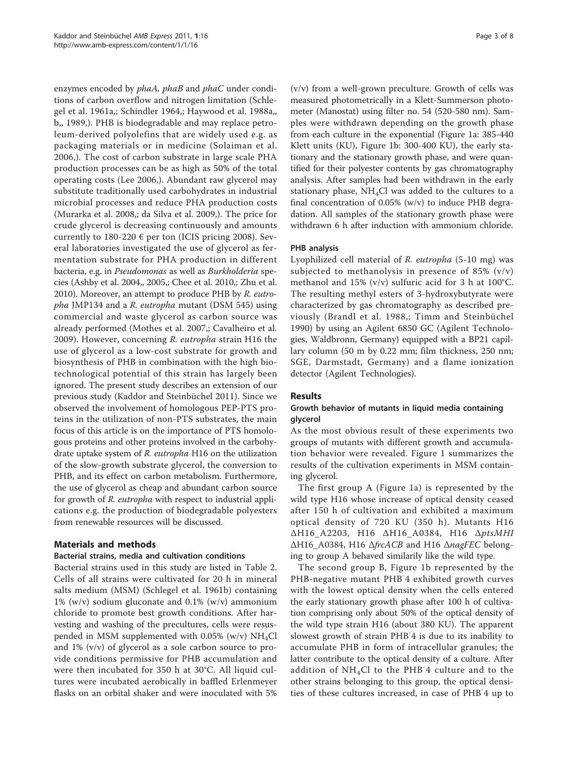enzymes encoded by phaA, phaB and phaC under conditions of carbon overflow and nitrogen limitation ([Schle](#page-7-0)[gel et al. 1961a](#page-7-0),; [Schindler 1964,](#page-7-0); [Haywood et al. 1988a](#page-6-0),, [b,](#page-6-0), [1989,](#page-6-0)). PHB is biodegradable and may replace petroleum-derived polyolefins that are widely used e.g. as packaging materials or in medicine ([Solaiman et al.](#page-7-0) [2006](#page-7-0),). The cost of carbon substrate in large scale PHA production processes can be as high as 50% of the total operating costs [\(Lee 2006](#page-6-0),). Abundant raw glycerol may substitute traditionally used carbohydrates in industrial microbial processes and reduce PHA production costs ([Murarka et al. 2008](#page-6-0),; [da Silva et al. 2009,](#page-6-0)). The price for crude glycerol is decreasing continuously and amounts currently to 180-220  $\epsilon$  per ton [\(ICIS pricing 2008](#page-6-0)). Several laboratories investigated the use of glycerol as fermentation substrate for PHA production in different bacteria, e.g. in Pseudomonas as well as Burkholderia species ([Ashby et al. 2004](#page-6-0),, [2005](#page-6-0),; [Chee et al. 2010](#page-6-0),; [Zhu et al.](#page-7-0) [2010](#page-7-0)). Moreover, an attempt to produce PHB by R. eutropha JMP134 and a R. eutropha mutant (DSM 545) using commercial and waste glycerol as carbon source was already performed ([Mothes et al. 2007](#page-6-0),; [Cavalheiro et al.](#page-6-0) [2009\)](#page-6-0). However, concerning R. eutropha strain H16 the use of glycerol as a low-cost substrate for growth and biosynthesis of PHB in combination with the high biotechnological potential of this strain has largely been ignored. The present study describes an extension of our previous study [\(Kaddor and Steinbüchel 2011\)](#page-6-0). Since we observed the involvement of homologous PEP-PTS proteins in the utilization of non-PTS substrates, the main focus of this article is on the importance of PTS homologous proteins and other proteins involved in the carbohydrate uptake system of R. eutropha H16 on the utilization of the slow-growth substrate glycerol, the conversion to PHB, and its effect on carbon metabolism. Furthermore, the use of glycerol as cheap and abundant carbon source for growth of R. eutropha with respect to industrial applications e.g. the production of biodegradable polyesters from renewable resources will be discussed.

# Materials and methods

## Bacterial strains, media and cultivation conditions

Bacterial strains used in this study are listed in Table [2](#page-3-0). Cells of all strains were cultivated for 20 h in mineral salts medium (MSM) ([Schlegel et al. 1961b\)](#page-7-0) containing 1% (w/v) sodium gluconate and 0.1% (w/v) ammonium chloride to promote best growth conditions. After harvesting and washing of the precultures, cells were resuspended in MSM supplemented with  $0.05\%$  (w/v) NH<sub>4</sub>Cl and 1% (v/v) of glycerol as a sole carbon source to provide conditions permissive for PHB accumulation and were then incubated for 350 h at 30°C. All liquid cultures were incubated aerobically in baffled Erlenmeyer flasks on an orbital shaker and were inoculated with 5%

(v/v) from a well-grown preculture. Growth of cells was measured photometrically in a Klett-Summerson photometer (Manostat) using filter no. 54 (520-580 nm). Samples were withdrawn depending on the growth phase from each culture in the exponential (Figure [1a](#page-4-0): 385-440 Klett units (KU), Figure [1b](#page-4-0): 300-400 KU), the early stationary and the stationary growth phase, and were quantified for their polyester contents by gas chromatography analysis. After samples had been withdrawn in the early stationary phase,  $NH<sub>4</sub>Cl$  was added to the cultures to a final concentration of 0.05% (w/v) to induce PHB degradation. All samples of the stationary growth phase were withdrawn 6 h after induction with ammonium chloride.

### PHB analysis

Lyophilized cell material of R. eutropha (5-10 mg) was subjected to methanolysis in presence of 85% (v/v) methanol and 15% (v/v) sulfuric acid for 3 h at 100°C. The resulting methyl esters of 3-hydroxybutyrate were characterized by gas chromatography as described previously ([Brandl et al. 1988,](#page-6-0); [Timm and Steinbüchel](#page-7-0) [1990\)](#page-7-0) by using an Agilent 6850 GC (Agilent Technologies, Waldbronn, Germany) equipped with a BP21 capillary column (50 m by 0.22 mm; film thickness, 250 nm; SGE, Darmstadt, Germany) and a flame ionization detector (Agilent Technologies).

## Results

## Growth behavior of mutants in liquid media containing glycerol

As the most obvious result of these experiments two groups of mutants with different growth and accumulation behavior were revealed. Figure [1](#page-4-0) summarizes the results of the cultivation experiments in MSM containing glycerol.

The first group A (Figure [1a](#page-4-0)) is represented by the wild type H16 whose increase of optical density ceased after 150 h of cultivation and exhibited a maximum optical density of 720 KU (350 h). Mutants H16 ΔH16\_A2203, H16 ΔH16\_A0384, H16 ΔptsMHI ΔH16\_A0384, H16 ΔfrcACB and H16 ΔnagFEC belonging to group A behaved similarily like the wild type.

The second group B, Figure [1b](#page-4-0) represented by the PHB-negative mutant PHB<sup>-</sup>4 exhibited growth curves with the lowest optical density when the cells entered the early stationary growth phase after 100 h of cultivation comprising only about 50% of the optical density of the wild type strain H16 (about 380 KU). The apparent slowest growth of strain PHB<sup>-4</sup> is due to its inability to accumulate PHB in form of intracellular granules; the latter contribute to the optical density of a culture. After addition of NH4Cl to the PHB-4 culture and to the other strains belonging to this group, the optical densities of these cultures increased, in case of PHB-4 up to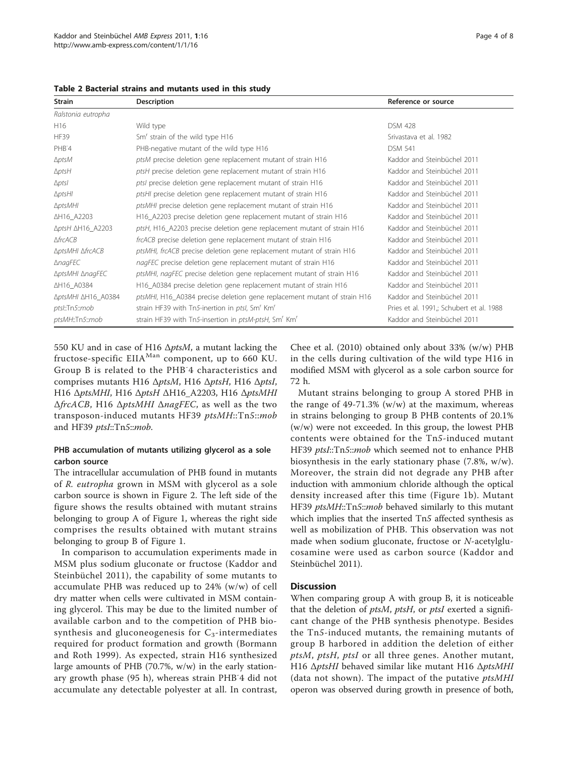| <b>Strain</b>                     | Description                                                                  | Reference or source                      |
|-----------------------------------|------------------------------------------------------------------------------|------------------------------------------|
| Ralstonia eutropha                |                                                                              |                                          |
| H <sub>16</sub>                   | Wild type                                                                    | <b>DSM 428</b>                           |
| <b>HF39</b>                       | Sm' strain of the wild type H16                                              | Srivastava et al. 1982                   |
| PHB-4                             | PHB-negative mutant of the wild type H16                                     | <b>DSM 541</b>                           |
| $\Delta p$ tsM                    | ptsM precise deletion gene replacement mutant of strain H16                  | Kaddor and Steinbüchel 2011              |
| $\triangle p$ tsH                 | ptsH precise deletion gene replacement mutant of strain H16                  | Kaddor and Steinbüchel 2011              |
| $\Delta p$ tsl                    | ptsl precise deletion gene replacement mutant of strain H16                  | Kaddor and Steinbüchel 2011              |
| $\Delta$ ptsHl                    | ptsHI precise deletion gene replacement mutant of strain H16                 | Kaddor and Steinbüchel 2011              |
| $\Delta p$ tsMHI                  | ptsMHI precise deletion gene replacement mutant of strain H16                | Kaddor and Steinbüchel 2011              |
| ∆H16_A2203                        | H16_A2203 precise deletion gene replacement mutant of strain H16             | Kaddor and Steinbüchel 2011              |
| $\Delta p$ tsH $\Delta$ H16_A2203 | ptsH, H16_A2203 precise deletion gene replacement mutant of strain H16       | Kaddor and Steinbüchel 2011              |
| $A$ frc $A$ $CB$                  | frcACB precise deletion gene replacement mutant of strain H16                | Kaddor and Steinbüchel 2011              |
| <b>AptsMHI AfrcACB</b>            | ptsMHI, frcACB precise deletion gene replacement mutant of strain H16        | Kaddor and Steinbüchel 2011              |
| $\triangle$ nagFEC                | nagFEC precise deletion gene replacement mutant of strain H16                | Kaddor and Steinbüchel 2011              |
| ΔptsMHI ΔnagFEC                   | ptsMHI, nagFEC precise deletion gene replacement mutant of strain H16        | Kaddor and Steinbüchel 2011              |
| ∆H16_A0384                        | H16_A0384 precise deletion gene replacement mutant of strain H16             | Kaddor and Steinbüchel 2011              |
| ∆ptsMHI ∆H16_A0384                | ptsMHI, H16_A0384 precise deletion gene replacement mutant of strain H16     | Kaddor and Steinbüchel 2011              |
| ptsl::Tn5::mob                    | strain HF39 with Tn5-inertion in ptsl, Sm <sup>r</sup> Km <sup>r</sup>       | Pries et al. 1991,; Schubert et al. 1988 |
| ptsMH::Tn5::mob                   | strain HF39 with Tn5-insertion in ptsM-ptsH, Sm <sup>r</sup> Km <sup>r</sup> | Kaddor and Steinbüchel 2011              |

<span id="page-3-0"></span>Table 2 Bacterial strains and mutants used in this study

550 KU and in case of H16  $\Delta p$ tsM, a mutant lacking the fructose-specific EIIA<sup>Man</sup> component, up to 660 KU. Group B is related to the PHB-4 characteristics and comprises mutants H16 ΔptsM, H16 ΔptsH, H16 ΔptsI, H16 ΔptsMHI, H16 ΔptsH ΔH16\_A2203, H16 ΔptsMHI  $ΔfrcACB$ , H16  $ΔptsMHI ΔnagFEC$ , as well as the two transposon-induced mutants HF39 ptsMH::Tn5::mob and HF39 ptsI::Tn5::mob.

## PHB accumulation of mutants utilizing glycerol as a sole carbon source

The intracellular accumulation of PHB found in mutants of R. eutropha grown in MSM with glycerol as a sole carbon source is shown in Figure [2.](#page-5-0) The left side of the figure shows the results obtained with mutant strains belonging to group A of Figure [1](#page-4-0), whereas the right side comprises the results obtained with mutant strains belonging to group B of Figure [1](#page-4-0).

In comparison to accumulation experiments made in MSM plus sodium gluconate or fructose ([Kaddor and](#page-6-0) [Steinbüchel 2011](#page-6-0)), the capability of some mutants to accumulate PHB was reduced up to 24% (w/w) of cell dry matter when cells were cultivated in MSM containing glycerol. This may be due to the limited number of available carbon and to the competition of PHB biosynthesis and gluconeogenesis for  $C_3$ -intermediates required for product formation and growth [\(Bormann](#page-6-0) [and Roth 1999](#page-6-0)). As expected, strain H16 synthesized large amounts of PHB (70.7%, w/w) in the early stationary growth phase (95 h), whereas strain PHB-4 did not accumulate any detectable polyester at all. In contrast,

[Chee et al. \(2010\)](#page-6-0) obtained only about 33% (w/w) PHB in the cells during cultivation of the wild type H16 in modified MSM with glycerol as a sole carbon source for 72 h.

Mutant strains belonging to group A stored PHB in the range of  $49-71.3\%$  (w/w) at the maximum, whereas in strains belonging to group B PHB contents of 20.1% (w/w) were not exceeded. In this group, the lowest PHB contents were obtained for the Tn5-induced mutant HF39 ptsI::Tn5::mob which seemed not to enhance PHB biosynthesis in the early stationary phase (7.8%, w/w). Moreover, the strain did not degrade any PHB after induction with ammonium chloride although the optical density increased after this time (Figure [1b\)](#page-4-0). Mutant HF39 *ptsMH*::Tn5::*mob* behaved similarly to this mutant which implies that the inserted Tn5 affected synthesis as well as mobilization of PHB. This observation was not made when sodium gluconate, fructose or N-acetylglucosamine were used as carbon source ([Kaddor and](#page-6-0) [Steinbüchel 2011\)](#page-6-0).

## **Discussion**

When comparing group A with group B, it is noticeable that the deletion of *ptsM*, *ptsH*, or *ptsI* exerted a significant change of the PHB synthesis phenotype. Besides the Tn5-induced mutants, the remaining mutants of group B harbored in addition the deletion of either ptsM, ptsH, ptsI or all three genes. Another mutant, H16 ΔptsHI behaved similar like mutant H16 ΔptsMHI (data not shown). The impact of the putative ptsMHI operon was observed during growth in presence of both,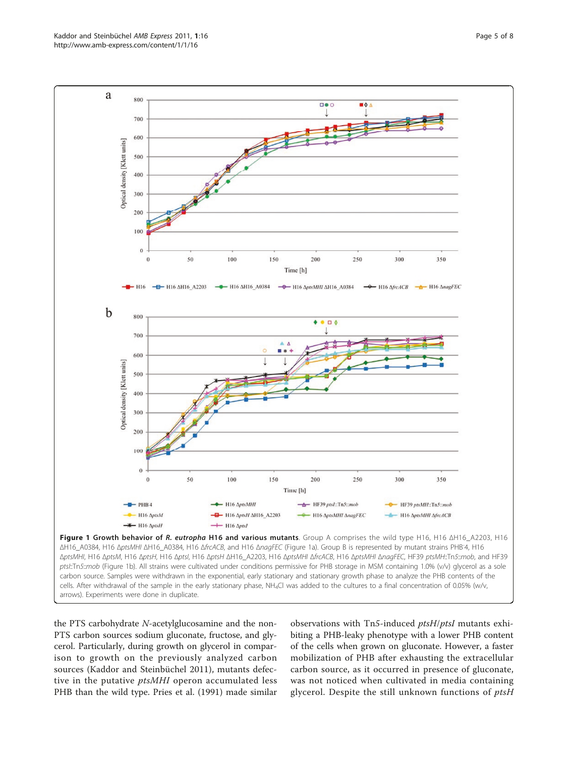the PTS carbohydrate N-acetylglucosamine and the non-PTS carbon sources sodium gluconate, fructose, and glycerol. Particularly, during growth on glycerol in comparison to growth on the previously analyzed carbon sources [\(Kaddor and Steinbüchel 2011](#page-6-0)), mutants defective in the putative *ptsMHI* operon accumulated less PHB than the wild type. [Pries et al. \(1991\)](#page-7-0) made similar

observations with Tn5-induced ptsH/ptsI mutants exhibiting a PHB-leaky phenotype with a lower PHB content of the cells when grown on gluconate. However, a faster mobilization of PHB after exhausting the extracellular carbon source, as it occurred in presence of gluconate, was not noticed when cultivated in media containing glycerol. Despite the still unknown functions of ptsH

<span id="page-4-0"></span>

**De 0** 

 $\blacksquare$ 0  $\triangle$ 

800

700

a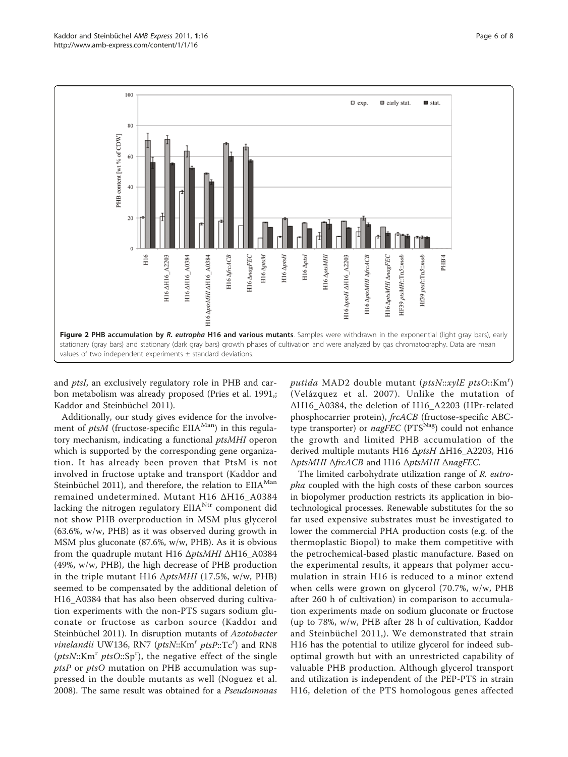<span id="page-5-0"></span>

and ptsI, an exclusively regulatory role in PHB and carbon metabolism was already proposed [\(Pries et al. 1991](#page-7-0),; [Kaddor and Steinbüchel 2011](#page-6-0)).

Additionally, our study gives evidence for the involvement of *ptsM* (fructose-specific EIIA<sup>Man</sup>) in this regulatory mechanism, indicating a functional ptsMHI operon which is supported by the corresponding gene organization. It has already been proven that PtsM is not involved in fructose uptake and transport ([Kaddor and](#page-6-0) [Steinbüchel 2011\)](#page-6-0), and therefore, the relation to EIIA<sup>Man</sup> remained undetermined. Mutant H16 ΔH16\_A0384 lacking the nitrogen regulatory  $EIA<sup>Ntr</sup>$  component did not show PHB overproduction in MSM plus glycerol (63.6%, w/w, PHB) as it was observed during growth in MSM plus gluconate (87.6%, w/w, PHB). As it is obvious from the quadruple mutant H16 ΔptsMHI ΔH16\_A0384 (49%, w/w, PHB), the high decrease of PHB production in the triple mutant H16  $\Delta p$ tsMHI (17.5%, w/w, PHB) seemed to be compensated by the additional deletion of H16\_A0384 that has also been observed during cultivation experiments with the non-PTS sugars sodium gluconate or fructose as carbon source ([Kaddor and](#page-6-0) [Steinbüchel 2011\)](#page-6-0). In disruption mutants of Azotobacter vinelandii UW136, RN7 (ptsN::Km<sup>r</sup> ptsP::Tc<sup>r</sup>) and RN8 (ptsN::Km<sup>r</sup> ptsO::Sp<sup>r</sup>), the negative effect of the single *ptsP* or  $ptsO$  mutation on PHB accumulation was suppressed in the double mutants as well ([Noguez et al.](#page-6-0) [2008](#page-6-0)). The same result was obtained for a Pseudomonas

putida MAD2 double mutant (ptsN::xylE ptsO::Km<sup>r</sup>) ([Velázquez et al. 2007\)](#page-7-0). Unlike the mutation of ΔH16\_A0384, the deletion of H16\_A2203 (HPr-related phosphocarrier protein), frcACB (fructose-specific ABCtype transporter) or *nagFEC* ( $PTS<sup>Na</sup>$ ) could not enhance the growth and limited PHB accumulation of the derived multiple mutants H16 ΔptsH ΔH16\_A2203, H16 ΔptsMHI ΔfrcACB and H16 ΔptsMHI ΔnagFEC.

The limited carbohydrate utilization range of R. eutropha coupled with the high costs of these carbon sources in biopolymer production restricts its application in biotechnological processes. Renewable substitutes for the so far used expensive substrates must be investigated to lower the commercial PHA production costs (e.g. of the thermoplastic Biopol) to make them competitive with the petrochemical-based plastic manufacture. Based on the experimental results, it appears that polymer accumulation in strain H16 is reduced to a minor extend when cells were grown on glycerol (70.7%, w/w, PHB after 260 h of cultivation) in comparison to accumulation experiments made on sodium gluconate or fructose (up to 78%, w/w, PHB after 28 h of cultivation, [Kaddor](#page-6-0) [and Steinbüchel 2011,](#page-6-0)). We demonstrated that strain H16 has the potential to utilize glycerol for indeed suboptimal growth but with an unrestricted capability of valuable PHB production. Although glycerol transport and utilization is independent of the PEP-PTS in strain H16, deletion of the PTS homologous genes affected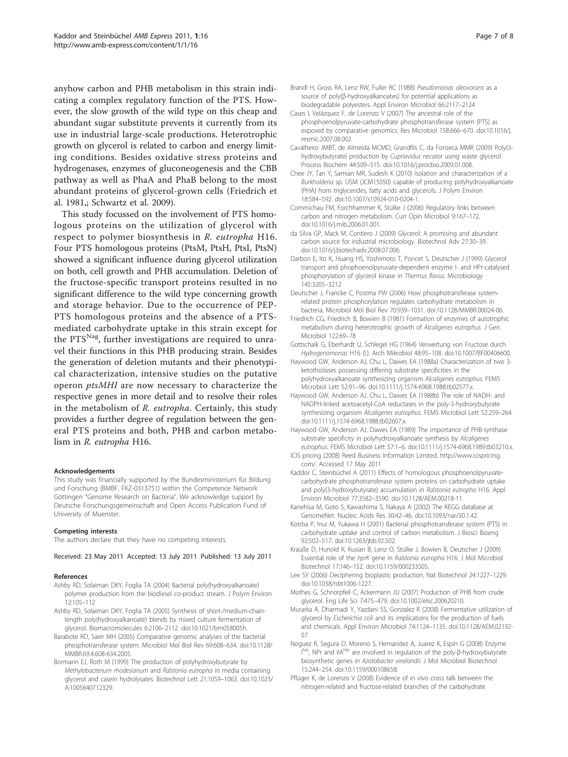<span id="page-6-0"></span>anyhow carbon and PHB metabolism in this strain indicating a complex regulatory function of the PTS. However, the slow growth of the wild type on this cheap and abundant sugar substitute prevents it currently from its use in industrial large-scale productions. Heterotrophic growth on glycerol is related to carbon and energy limiting conditions. Besides oxidative stress proteins and hydrogenases, enzymes of gluconeogenesis and the CBB pathway as well as PhaA and PhaB belong to the most abundant proteins of glycerol-grown cells (Friedrich et al. 1981,; [Schwartz et al. 2009\)](#page-7-0).

This study focussed on the involvement of PTS homologous proteins on the utilization of glycerol with respect to polymer biosynthesis in R. eutropha H16. Four PTS homologous proteins (PtsM, PtsH, PtsI, PtsN) showed a significant influence during glycerol utilization on both, cell growth and PHB accumulation. Deletion of the fructose-specific transport proteins resulted in no significant difference to the wild type concerning growth and storage behavior. Due to the occurrence of PEP-PTS homologous proteins and the absence of a PTSmediated carbohydrate uptake in this strain except for the  $PTS<sup>Nag</sup>$ , further investigations are required to unravel their functions in this PHB producing strain. Besides the generation of deletion mutants and their phenotypical characterization, intensive studies on the putative operon ptsMHI are now necessary to characterize the respective genes in more detail and to resolve their roles in the metabolism of R. eutropha. Certainly, this study provides a further degree of regulation between the general PTS proteins and both, PHB and carbon metabolism in R. eutropha H16.

#### Acknowledgements

This study was financially supported by the Bundesministerium für Bildung und Forschung (BMBF, FKZ-0313751) within the Competence Network Göttingen "Genome Research on Bacteria". We acknowledge support by Deutsche Forschungsgemeinschaft and Open Access Publication Fund of University of Muenster.

#### Competing interests

The authors declare that they have no competing interests.

#### Received: 23 May 2011 Accepted: 13 July 2011 Published: 13 July 2011

#### References

- Ashby RD, Solaiman DKY, Foglia TA (2004) Bacterial poly(hydroxyalkanoate) polymer production from the biodiesel co-product stream. J Polym Environ 12:105–112
- Ashby RD, Solaiman DKY, Foglia TA (2005) [Synthesis of short-/medium-chain](http://www.ncbi.nlm.nih.gov/pubmed/16004451?dopt=Abstract)[length poly\(hydroxyalkanoate\) blends by mixed culture fermentation of](http://www.ncbi.nlm.nih.gov/pubmed/16004451?dopt=Abstract) [glycerol.](http://www.ncbi.nlm.nih.gov/pubmed/16004451?dopt=Abstract) Biomacromolecules 6:2106–2112. doi:10.1021/bm058005h.
- Barabote RD, Saier MH (2005[\) Comparative genomic analyses of the bacterial](http://www.ncbi.nlm.nih.gov/pubmed/16339738?dopt=Abstract) [phosphotransferase system.](http://www.ncbi.nlm.nih.gov/pubmed/16339738?dopt=Abstract) Microbiol Mol Biol Rev 69:608–634. doi:10.1128/ MMBR.69.4.608-634.2005.
- Bormann EJ, Roth M (1999) The production of polyhydroxybutyrate by Methylobacterium rhodesianum and Ralstonia eutropha in media containing glycerol and casein hydrolysates. Biotechnol Lett 21:1059–1063. doi:10.1023/ A:1005640712329.
- Cases I, Velázquez F, de Lorenzo V (2007[\) The ancestral role of the](http://www.ncbi.nlm.nih.gov/pubmed/17913467?dopt=Abstract) [phosphoenolpyruvate-carbohydrate phosphotransferase system \(PTS\) as](http://www.ncbi.nlm.nih.gov/pubmed/17913467?dopt=Abstract) [exposed by comparative genomics.](http://www.ncbi.nlm.nih.gov/pubmed/17913467?dopt=Abstract) Res Microbiol 158:666–670. doi:10.1016/j. resmic.2007.08.002.
- Cavalheiro JMBT, de Almeida MCMD, Grandfils C, da Fonseca MMR (2009) Poly(3 hydroxybutyrate) production by Cupriavidus necator using waste glycerol. Process Biochem 44:509–515. doi:10.1016/j.procbio.2009.01.008.
- Chee JY, Tan Y, Samian MR, Sudesh K (2010) Isolation and characterization of a Burkholderia sp. USM (JCM15050) capable of producing polyhydroxyalkanoate (PHA) from triglycerides, fatty acids and glycerols. J Polym Environ 18:584–592. doi:10.1007/s10924-010-0204-1.
- Commichau FM, Forchhammer K, Stülke J (2006) [Regulatory links between](http://www.ncbi.nlm.nih.gov/pubmed/16458044?dopt=Abstract) [carbon and nitrogen metabolism.](http://www.ncbi.nlm.nih.gov/pubmed/16458044?dopt=Abstract) Curr Opin Microbiol 9:167–172. doi:10.1016/j.mib.2006.01.001.
- da Silva GP, Mack M, Contiero J (2009[\) Glycerol: A promising and abundant](http://www.ncbi.nlm.nih.gov/pubmed/18775486?dopt=Abstract) [carbon source for industrial microbiology.](http://www.ncbi.nlm.nih.gov/pubmed/18775486?dopt=Abstract) Biotechnol Adv 27:30–39. doi:10.1016/j.biotechadv.2008.07.006.
- Darbon E, Ito K, Huang HS, Yoshimoto T, Poncet S, Deutscher J (1999[\) Glycerol](http://www.ncbi.nlm.nih.gov/pubmed/10589729?dopt=Abstract) [transport and phophoenolpyruvate-dependent enzyme I- and HPr-catalysed](http://www.ncbi.nlm.nih.gov/pubmed/10589729?dopt=Abstract) [phosphorylation of glycerol kinase in](http://www.ncbi.nlm.nih.gov/pubmed/10589729?dopt=Abstract) Thermus flavus. Microbiology 145:3205–3212
- Deutscher J, Francke C, Postma PW (2006) [How phosphotransferase system](http://www.ncbi.nlm.nih.gov/pubmed/17158705?dopt=Abstract)[related protein phosphorylation regulates carbohydrate metabolism in](http://www.ncbi.nlm.nih.gov/pubmed/17158705?dopt=Abstract) [bacteria.](http://www.ncbi.nlm.nih.gov/pubmed/17158705?dopt=Abstract) Microbiol Mol Biol Rev 70:939–1031. doi:10.1128/MMBR.00024-06.
- Friedrich CG, Friedrich B, Bowien B (1981) Formation of enzymes of autotrophic metabolism during heterotrophic growth of Alcaligenes eutrophus. J Gen Microbiol 122:69–78
- Gottschalk G, Eberhardt U, Schlegel HG (1964) [Verwertung von Fructose durch](http://www.ncbi.nlm.nih.gov/pubmed/14249035?dopt=Abstract) [Hydrogenomonas](http://www.ncbi.nlm.nih.gov/pubmed/14249035?dopt=Abstract) H16 (I.). Arch Mikrobiol 48:95–108. doi:10.1007/BF00406600.
- Haywood GW, Anderson AJ, Chu L, Dawes EA (1988a) Characterization of two 3 ketothiolases possessing differing substrate specificities in the polyhydroxyalkanoate synthesizing organism Alcaligenes eutrophus. FEMS
- Microbiol Lett 52:91–96. doi:10.1111/j.1574-6968.1988.tb02577.x. Haywood GW, Anderson AJ, Chu L, Dawes EA (1988b) The role of NADH- and NADPH-linked acetoacetyl-CoA reductases in the poly-3-hydroxybutyrate synthesizing organism Alcaligenes eutrophus. FEMS Microbiol Lett 52:259–264. doi:10.1111/j.1574-6968.1988.tb02607.x.
- Haywood GW, Anderson AJ, Dawes EA (1989) The importance of PHB-synthase substrate specificity in polyhydroxyalkanoate synthesis by Alcaligenes eutrophus. FEMS Microbiol Lett 57:1–6. doi:10.1111/j.1574-6968.1989.tb03210.x.
- ICIS pricing (2008) Reed Business Information Limited. [http://www.icispricing.](http://www.icispricing.com/) [com/](http://www.icispricing.com/). Accessed 17 May 2011
- Kaddor C, Steinbüchel A (2011[\) Effects of homologous phosphoenolpyruvate](http://www.ncbi.nlm.nih.gov/pubmed/21478317?dopt=Abstract)[carbohydrate phosphotransferase system proteins on carbohydrate uptake](http://www.ncbi.nlm.nih.gov/pubmed/21478317?dopt=Abstract) [and poly\(3-hydroxybutyrate\) accumulation in](http://www.ncbi.nlm.nih.gov/pubmed/21478317?dopt=Abstract) Ralstonia eutropha H16. Appl Environ Microbiol 77:3582–3590. doi:10.1128/AEM.00218-11.
- Kanehisa M, Goto S, Kawashima S, Nakaya A (2002[\) The KEGG database at](http://www.ncbi.nlm.nih.gov/pubmed/11752249?dopt=Abstract) [GenomeNet.](http://www.ncbi.nlm.nih.gov/pubmed/11752249?dopt=Abstract) Nucleic Acids Res 30:42–46. doi:10.1093/nar/30.1.42.
- Kotrba P, Inui M, Yukawa H (2001) [Bacterial phosphotransferase system \(PTS\) in](http://www.ncbi.nlm.nih.gov/pubmed/16233138?dopt=Abstract) [carbohydrate uptake and control of carbon metabolism.](http://www.ncbi.nlm.nih.gov/pubmed/16233138?dopt=Abstract) J Biosci Bioeng 92:502–517. doi:10.1263/jbb.92.502.
- Krauße D, Hunold K, Kusian B, Lenz O, Stülke J, Bowien B, Deutscher J (2009) [Essential role of the](http://www.ncbi.nlm.nih.gov/pubmed/19672046?dopt=Abstract) hprK gene in Ralstonia eutropha H16. J Mol Microbiol Biotechnol 17:146–152. doi:10.1159/000233505.
- Lee SY (2006) [Deciphering bioplastic production.](http://www.ncbi.nlm.nih.gov/pubmed/17033660?dopt=Abstract) Nat Biotechnol 24:1227–1229. doi:10.1038/nbt1006-1227.
- Mothes G, Schnorpfeil C, Ackermann JU (2007) Production of PHB from crude glycerol. Eng Life Sci 7:475–479. doi:10.1002/elsc.200620210.
- Murarka A, Dharmadi Y, Yazdani SS, Gonzalez R (2008[\) Fermentative utilization of](http://www.ncbi.nlm.nih.gov/pubmed/18156341?dopt=Abstract) glycerol by Escherichia coli [and its implications for the production of fuels](http://www.ncbi.nlm.nih.gov/pubmed/18156341?dopt=Abstract) [and chemicals.](http://www.ncbi.nlm.nih.gov/pubmed/18156341?dopt=Abstract) Appl Environ Microbiol 74:1124–1135. doi:10.1128/AEM.02192- 07.
- Noguez R, Segura D, Moreno S, Hernandez A, Juarez K, Espín G (2008) [Enzyme](http://www.ncbi.nlm.nih.gov/pubmed/17878711?dopt=Abstract) I[Ntr,](http://www.ncbi.nlm.nih.gov/pubmed/17878711?dopt=Abstract) [NPr](http://www.ncbi.nlm.nih.gov/pubmed/17878711?dopt=Abstract) [and](http://www.ncbi.nlm.nih.gov/pubmed/17878711?dopt=Abstract) [IIANtr](http://www.ncbi.nlm.nih.gov/pubmed/17878711?dopt=Abstract) [are involved in regulation of the poly-](http://www.ncbi.nlm.nih.gov/pubmed/17878711?dopt=Abstract)β-hydroxybutyrate [biosynthetic genes in](http://www.ncbi.nlm.nih.gov/pubmed/17878711?dopt=Abstract) Azotobacter vinelandii. J Mol Microbiol Biotechnol 15:244–254. doi:10.1159/000108658.
- Pflüger K, de Lorenzo V (2008) [Evidence of in vivo cross talk between the](http://www.ncbi.nlm.nih.gov/pubmed/18296519?dopt=Abstract) [nitrogen-related and fructose-related branches of the carbohydrate](http://www.ncbi.nlm.nih.gov/pubmed/18296519?dopt=Abstract)